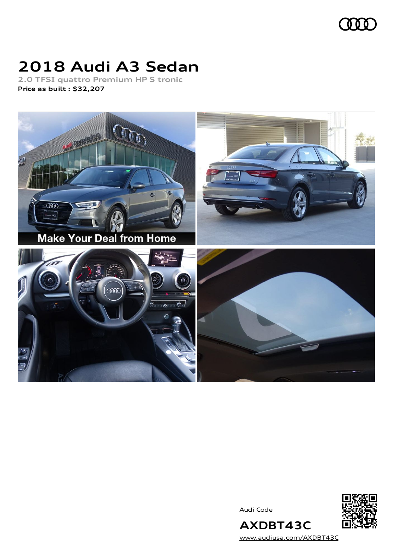

# **2018 Audi A3 Sedan**

**2.0 TFSI quattro Premium HP S tronic Price as built [:](#page-10-0) \$32,207**



Audi Code



[www.audiusa.com/AXDBT43C](https://www.audiusa.com/AXDBT43C)

**AXDBT43C**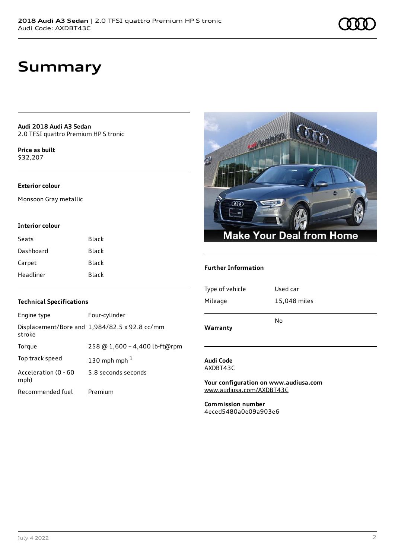### **Summary**

**Audi 2018 Audi A3 Sedan** 2.0 TFSI quattro Premium HP S tronic

**Price as buil[t](#page-10-0)** \$32,207

#### **Exterior colour**

Monsoon Gray metallic

#### **Interior colour**

| Seats     | Black |
|-----------|-------|
| Dashboard | Black |
| Carpet    | Black |
| Headliner | Black |



#### **Further Information**

| Type of vehicle | Used car     |
|-----------------|--------------|
| Mileage         | 15,048 miles |
|                 | No           |
| Warranty        |              |

#### **Audi Code** AXDBT43C

**Your configuration on www.audiusa.com** [www.audiusa.com/AXDBT43C](https://www.audiusa.com/AXDBT43C)

**Commission number** 4eced5480a0e09a903e6

#### **Technical Specifications**

| Engine type                  | Four-cylinder                                 |
|------------------------------|-----------------------------------------------|
| stroke                       | Displacement/Bore and 1,984/82.5 x 92.8 cc/mm |
| Torque                       | 258 @ 1,600 - 4,400 lb-ft@rpm                 |
| Top track speed              | 130 mph mph $1$                               |
| Acceleration (0 - 60<br>mph) | 5.8 seconds seconds                           |
| Recommended fuel             | Premium                                       |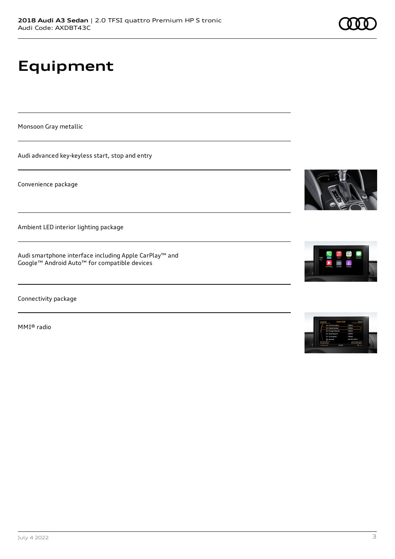# **Equipment**

Monsoon Gray metallic

Audi advanced key-keyless start, stop and entry

Convenience package

Ambient LED interior lighting package

Audi smartphone interface including Apple CarPlay™ and Google™ Android Auto™ for compatible devices

Connectivity package

MMI® radio





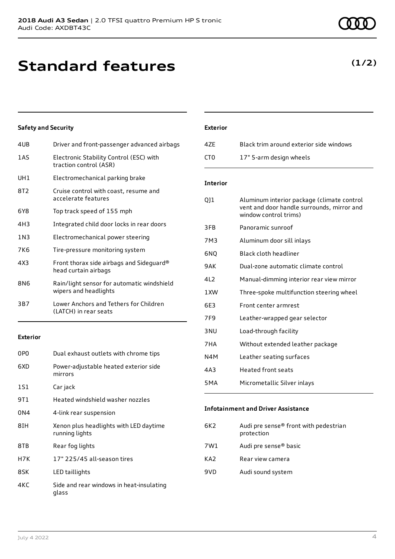# **Standard features**

### **Safety and Security**

| 4UB   | Driver and front-passenger advanced airbags                         |
|-------|---------------------------------------------------------------------|
| 1AS   | Electronic Stability Control (ESC) with<br>traction control (ASR)   |
| UH1   | Electromechanical parking brake                                     |
| 8T2   | Cruise control with coast, resume and<br>accelerate features        |
| 6Y8   | Top track speed of 155 mph                                          |
| 4H3   | Integrated child door locks in rear doors                           |
| 1 N 3 | Electromechanical power steering                                    |
| 7K6   | Tire-pressure monitoring system                                     |
| 4X3   | Front thorax side airbags and Sideguard®<br>head curtain airbags    |
| 8N6   | Rain/light sensor for automatic windshield<br>wipers and headlights |
| 3B7   | Lower Anchors and Tethers for Children<br>(LATCH) in rear seats     |
|       |                                                                     |

### **Exterior**

| 0P <sub>0</sub> | Dual exhaust outlets with chrome tips                    |
|-----------------|----------------------------------------------------------|
| 6XD             | Power-adjustable heated exterior side<br>mirrors         |
| 1S1             | Car jack                                                 |
| 9T 1            | Heated windshield washer nozzles                         |
| 0N4             | 4-link rear suspension                                   |
| 8IH             | Xenon plus headlights with LED daytime<br>running lights |
| 8TB             | Rear fog lights                                          |
| H7K             | 17" 225/45 all-season tires                              |
| 8SK             | LED taillights                                           |
| 4KC             | Side and rear windows in heat-insulating<br>qlass        |

### **Exterior**

| 47F | Black trim around exterior side windows |
|-----|-----------------------------------------|
| CT0 | 17" 5-arm design wheels                 |

#### **Interior**

| QJ1              | Aluminum interior package (climate control<br>vent and door handle surrounds, mirror and<br>window control trims) |
|------------------|-------------------------------------------------------------------------------------------------------------------|
| 3FB              | Panoramic sunroof                                                                                                 |
| 7M3              | Aluminum door sill inlays                                                                                         |
| 6NO              | Black cloth headliner                                                                                             |
| 9AK              | Dual-zone automatic climate control                                                                               |
| 412              | Manual-dimming interior rear view mirror                                                                          |
| 1XW              | Three-spoke multifunction steering wheel                                                                          |
| 6F3              | Front center armrest                                                                                              |
| 7F <sub>9</sub>  | Leather-wrapped gear selector                                                                                     |
| 3 <sub>NU</sub>  | Load-through facility                                                                                             |
| 7HA              | Without extended leather package                                                                                  |
| N4M              | Leather seating surfaces                                                                                          |
| 4A3              | <b>Heated front seats</b>                                                                                         |
| 5 <sub>M</sub> A | Micrometallic Silver inlays                                                                                       |
|                  |                                                                                                                   |

#### **Infotainment and Driver Assistance**

| 6K2 | Audi pre sense® front with pedestrian<br>protection |
|-----|-----------------------------------------------------|
| 7W1 | Audi pre sense® basic                               |
| KA2 | Rear view camera                                    |
| 9VD | Audi sound system                                   |

### **(1/2)**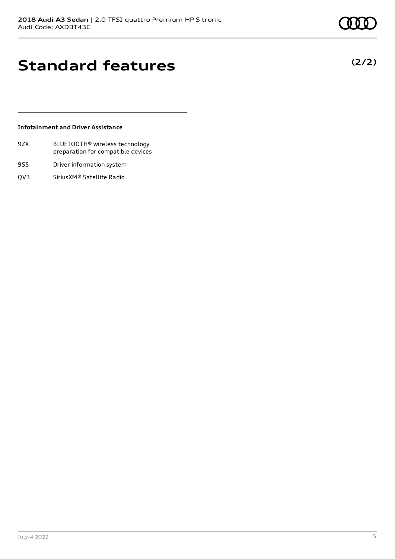**(2/2)**

# **Standard features**

### **Infotainment and Driver Assistance**

- 9ZX BLUETOOTH® wireless technology preparation for compatible devices
- 9S5 Driver information system
- QV3 SiriusXM® Satellite Radio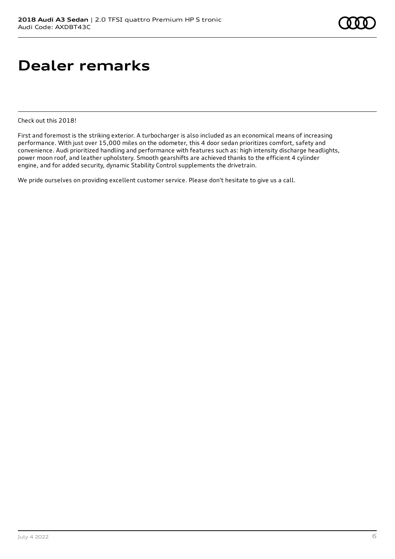# **Dealer remarks**

Check out this 2018!

First and foremost is the striking exterior. A turbocharger is also included as an economical means of increasing performance. With just over 15,000 miles on the odometer, this 4 door sedan prioritizes comfort, safety and convenience. Audi prioritized handling and performance with features such as: high intensity discharge headlights, power moon roof, and leather upholstery. Smooth gearshifts are achieved thanks to the efficient 4 cylinder engine, and for added security, dynamic Stability Control supplements the drivetrain.

We pride ourselves on providing excellent customer service. Please don't hesitate to give us a call.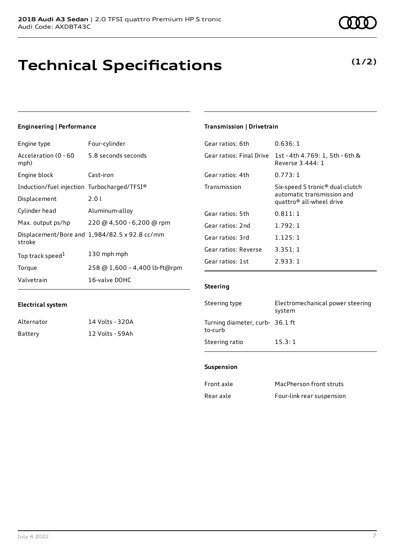# **Technical Specifications**

### **Engineering | Performance**

| Engine type                                 | Four-cylinder                                 |
|---------------------------------------------|-----------------------------------------------|
| Acceleration (0 - 60<br>mph)                | 5.8 seconds seconds                           |
| Engine block                                | Cast-iron                                     |
| Induction/fuel injection Turbocharged/TFSI® |                                               |
| Displacement                                | 2.01                                          |
| Cylinder head                               | Aluminum-alloy                                |
| Max. output ps/hp                           | 220 @ 4,500 - 6,200 @ rpm                     |
| stroke                                      | Displacement/Bore and 1,984/82.5 x 92.8 cc/mm |
| Top track speed <sup>1</sup>                | 130 mph mph                                   |
| Torque                                      | 258 @ 1,600 - 4,400 lb-ft@rpm                 |
| Valvetrain                                  | 16-valve DOHC                                 |

### **Transmission | Drivetrain**

| Gear ratios: 6th         | 0.636:1                                                                                                           |
|--------------------------|-------------------------------------------------------------------------------------------------------------------|
| Gear ratios: Final Drive | 1st - 4th 4.769: 1, 5th - 6th &<br>Reverse 3,444: 1                                                               |
| Gear ratios: 4th         | 0.773:1                                                                                                           |
| Transmission             | Six-speed S tronic <sup>®</sup> dual-clutch<br>automatic transmission and<br>quattro <sup>®</sup> all-wheel drive |
| Gear ratios: 5th         | 0.811:1                                                                                                           |
| Gear ratios: 2nd         | 1.792:1                                                                                                           |
| Gear ratios: 3rd         | 1.125:1                                                                                                           |
| Gear ratios: Reverse     | 3.351:1                                                                                                           |
| Gear ratios: 1st         | 2.933:1                                                                                                           |

### **Steering**

| Steering type                              | Electromechanical power steering<br>system |
|--------------------------------------------|--------------------------------------------|
| Turning diameter, curb- 36.1 ft<br>to-curb |                                            |
| Steering ratio                             | 15.3:1                                     |

#### **Suspension**

| Front axle | MacPherson front struts   |
|------------|---------------------------|
| Rear axle  | Four-link rear suspension |

Alternator 14 Volts - 320A Battery 12 Volts - 59Ah

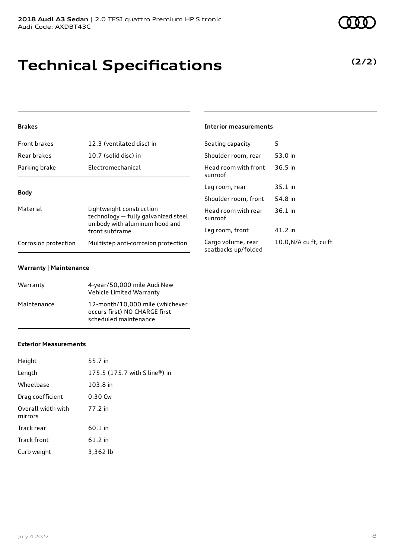| Curb weight | 3,36 |
|-------------|------|
|             |      |
|             |      |
|             |      |

### **Technical Specifications**

### **Brakes**

| <b>Front brakes</b>  | 12.3 (ventilated disc) in                                                                         | Seatin                      |
|----------------------|---------------------------------------------------------------------------------------------------|-----------------------------|
| Rear brakes          | 10.7 (solid disc) in                                                                              | Should                      |
| Parking brake        | Electromechanical                                                                                 | Head r<br>sunroc            |
| <b>Body</b>          |                                                                                                   | Leg ro                      |
|                      |                                                                                                   | Should                      |
| Material             | Lightweight construction<br>technology - fully galvanized steel<br>unibody with aluminum hood and | Head r<br>sunroc            |
|                      | front subframe                                                                                    | Leg ro                      |
| Corrosion protection | Multistep anti-corrosion protection                                                               | Cargo <sup>,</sup><br>مطعمم |

#### **Warranty | Maintenance**

| Warranty    | 4-year/50,000 mile Audi New<br>Vehicle Limited Warranty                                   |
|-------------|-------------------------------------------------------------------------------------------|
| Maintenance | 12-month/10.000 mile (whichever<br>occurs first) NO CHARGE first<br>scheduled maintenance |

#### **Interior measurements**

| Seating capacity                          | 5                      |
|-------------------------------------------|------------------------|
| Shoulder room, rear                       | 53.0 in                |
| Head room with front<br>sunroof           | 36.5 in                |
| Leg room, rear                            | $35.1$ in              |
| Shoulder room, front                      | 54.8 in                |
| Head room with rear<br>sunroof            | $36.1$ in              |
| Leg room, front                           | 41.2 in                |
| Cargo volume, rear<br>seatbacks up/folded | 10.0, N/A cu ft, cu ft |

### **Exterior Measurements**

Height 55.7 in

| Length                        | 175.5 (175.7 with S line®) in |
|-------------------------------|-------------------------------|
| Wheelbase                     | 103.8 in                      |
| Drag coefficient              | $0.30$ Cw                     |
| Overall width with<br>mirrors | 77.2 in                       |
| Track rear                    | 60.1 in                       |
| <b>Track front</b>            | 61.2 in                       |
| Curb weight                   | 3,362 lb                      |

### **(2/2)**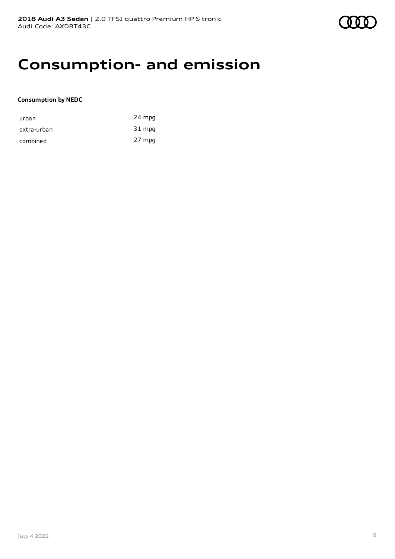

### **Consumption- and emission**

### **Consumption by NEDC**

| urban       | 24 mpg |
|-------------|--------|
| extra-urban | 31 mpg |
| combined    | 27 mpg |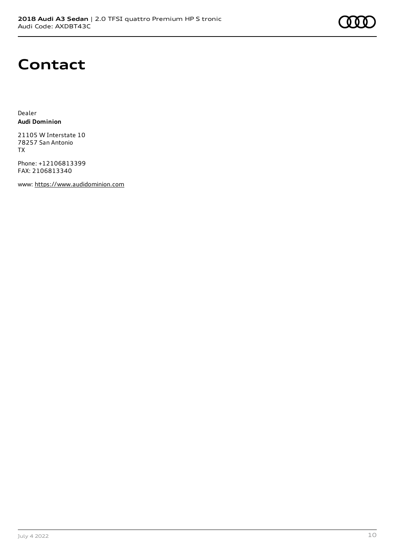

### **Contact**

Dealer **Audi Dominion**

21105 W Interstate 10 78257 San Antonio TX

Phone: +12106813399 FAX: 2106813340

www: [https://www.audidominion.com](https://www.audidominion.com/)